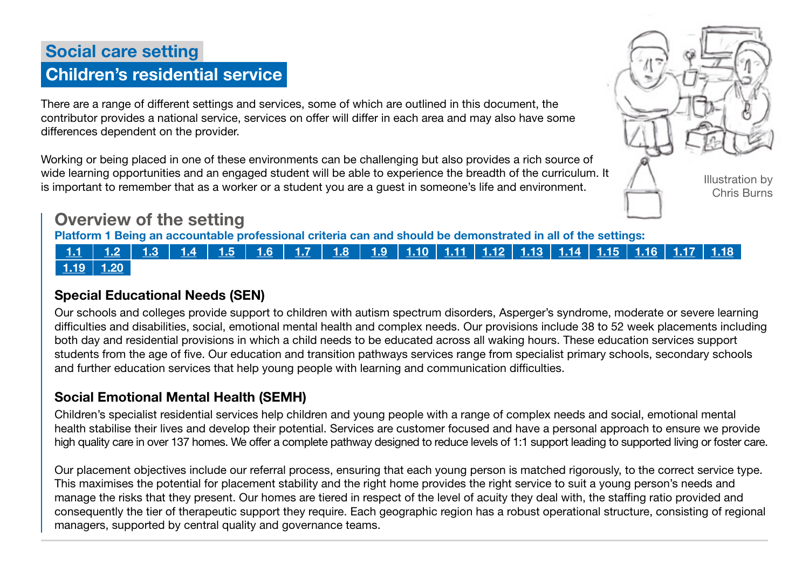# Social care setting Children's residential service

There are a range of different settings and services, some of which are outlined in this document, the contributor provides a national service, services on offer will differ in each area and may also have some differences dependent on the provider.

Working or being placed in one of these environments can be challenging but also provides a rich source of wide learning opportunities and an engaged student will be able to experience the breadth of the curriculum. It is important to remember that as a worker or a student you are a guest in someone's life and environment.



## Overview of the setting

Platform 1 Being an accountable professional criteria can and should be demonstrated in all of the settings:

## <u>| [1.1](https://www.skillsforcare.org.uk/Documents/Learning-and-development/Regulated-professionals/Registered-nurses/Future-nursing-proficiencies/future-nurse-proficiencies.pdf#page=8) | [1.2](https://www.skillsforcare.org.uk/Documents/Learning-and-development/Regulated-professionals/Registered-nurses/Future-nursing-proficiencies/future-nurse-proficiencies.pdf#page=8) | [1.3](https://www.skillsforcare.org.uk/Documents/Learning-and-development/Regulated-professionals/Registered-nurses/Future-nursing-proficiencies/future-nurse-proficiencies.pdf#page=8) | [1.4](https://www.skillsforcare.org.uk/Documents/Learning-and-development/Regulated-professionals/Registered-nurses/Future-nursing-proficiencies/future-nurse-proficiencies.pdf#page=8) | [1.5](https://www.skillsforcare.org.uk/Documents/Learning-and-development/Regulated-professionals/Registered-nurses/Future-nursing-proficiencies/future-nurse-proficiencies.pdf#page=8) | [1.6](https://www.skillsforcare.org.uk/Documents/Learning-and-development/Regulated-professionals/Registered-nurses/Future-nursing-proficiencies/future-nurse-proficiencies.pdf#page=8) | [1.7](https://www.skillsforcare.org.uk/Documents/Learning-and-development/Regulated-professionals/Registered-nurses/Future-nursing-proficiencies/future-nurse-proficiencies.pdf#page=8) | [1.8](https://www.skillsforcare.org.uk/Documents/Learning-and-development/Regulated-professionals/Registered-nurses/Future-nursing-proficiencies/future-nurse-proficiencies.pdf#page=8) | [1.9](https://www.skillsforcare.org.uk/Documents/Learning-and-development/Regulated-professionals/Registered-nurses/Future-nursing-proficiencies/future-nurse-proficiencies.pdf#page=8) | [1.10](https://www.skillsforcare.org.uk/Documents/Learning-and-development/Regulated-professionals/Registered-nurses/Future-nursing-proficiencies/future-nurse-proficiencies.pdf#page=9) | [1.11](https://www.skillsforcare.org.uk/Documents/Learning-and-development/Regulated-professionals/Registered-nurses/Future-nursing-proficiencies/future-nurse-proficiencies.pdf#page=9) | [1.12](https://www.skillsforcare.org.uk/Documents/Learning-and-development/Regulated-professionals/Registered-nurses/Future-nursing-proficiencies/future-nurse-proficiencies.pdf#page=9) | [1.13](https://www.skillsforcare.org.uk/Documents/Learning-and-development/Regulated-professionals/Registered-nurses/Future-nursing-proficiencies/future-nurse-proficiencies.pdf#page=9) | [1.14](https://www.skillsforcare.org.uk/Documents/Learning-and-development/Regulated-professionals/Registered-nurses/Future-nursing-proficiencies/future-nurse-proficiencies.pdf#page=9) | [1.15](https://www.skillsforcare.org.uk/Documents/Learning-and-development/Regulated-professionals/Registered-nurses/Future-nursing-proficiencies/future-nurse-proficiencies.pdf#page=9) | [1.16](https://www.skillsforcare.org.uk/Documents/Learning-and-development/Regulated-professionals/Registered-nurses/Future-nursing-proficiencies/future-nurse-proficiencies.pdf#page=9) | [1.17](https://www.skillsforcare.org.uk/Documents/Learning-and-development/Regulated-professionals/Registered-nurses/Future-nursing-proficiencies/future-nurse-proficiencies.pdf#page=9) | [1.18](https://www.skillsforcare.org.uk/Documents/Learning-and-development/Regulated-professionals/Registered-nurses/Future-nursing-proficiencies/future-nurse-proficiencies.pdf#page=9)</u>  $1.19$  [1.20](https://www.skillsforcare.org.uk/Documents/Learning-and-development/Regulated-professionals/Registered-nurses/Future-nursing-proficiencies/future-nurse-proficiencies.pdf#page=9)

## Special Educational Needs (SEN)

Our schools and colleges provide support to children with autism spectrum disorders, Asperger's syndrome, moderate or severe learning difficulties and disabilities, social, emotional mental health and complex needs. Our provisions include 38 to 52 week placements including both day and residential provisions in which a child needs to be educated across all waking hours. These education services support students from the age of five. Our education and transition pathways services range from specialist primary schools, secondary schools and further education services that help young people with learning and communication difficulties.

## Social Emotional Mental Health (SEMH)

Children's specialist residential services help children and young people with a range of complex needs and social, emotional mental health stabilise their lives and develop their potential. Services are customer focused and have a personal approach to ensure we provide high quality care in over 137 homes. We offer a complete pathway designed to reduce levels of 1:1 support leading to supported living or foster care.

Our placement objectives include our referral process, ensuring that each young person is matched rigorously, to the correct service type. This maximises the potential for placement stability and the right home provides the right service to suit a young person's needs and manage the risks that they present. Our homes are tiered in respect of the level of acuity they deal with, the staffing ratio provided and consequently the tier of therapeutic support they require. Each geographic region has a robust operational structure, consisting of regional managers, supported by central quality and governance teams.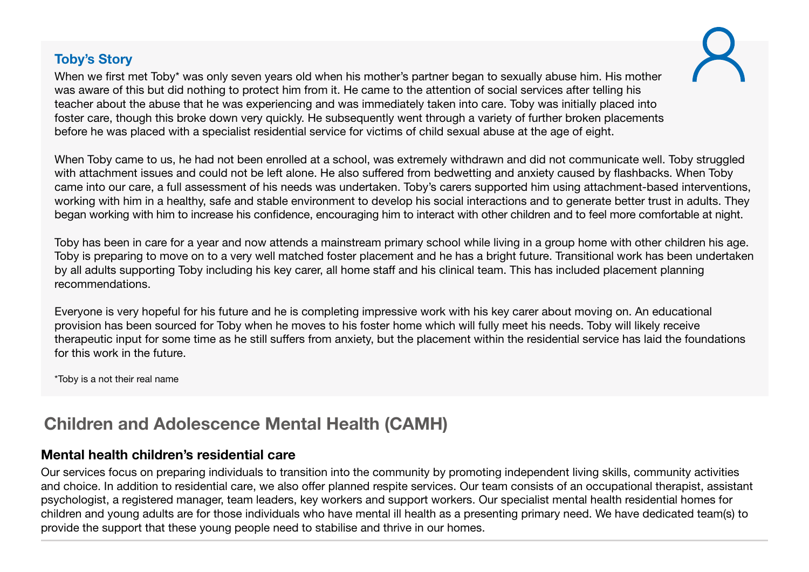### Toby's Story

When we first met Toby\* was only seven years old when his mother's partner began to sexually abuse him. His mother was aware of this but did nothing to protect him from it. He came to the attention of social services after telling his teacher about the abuse that he was experiencing and was immediately taken into care. Toby was initially placed into foster care, though this broke down very quickly. He subsequently went through a variety of further broken placements before he was placed with a specialist residential service for victims of child sexual abuse at the age of eight.

When Toby came to us, he had not been enrolled at a school, was extremely withdrawn and did not communicate well. Toby struggled with attachment issues and could not be left alone. He also suffered from bedwetting and anxiety caused by flashbacks. When Toby came into our care, a full assessment of his needs was undertaken. Toby's carers supported him using attachment-based interventions, working with him in a healthy, safe and stable environment to develop his social interactions and to generate better trust in adults. They began working with him to increase his confidence, encouraging him to interact with other children and to feel more comfortable at night.

Toby has been in care for a year and now attends a mainstream primary school while living in a group home with other children his age. Toby is preparing to move on to a very well matched foster placement and he has a bright future. Transitional work has been undertaken by all adults supporting Toby including his key carer, all home staff and his clinical team. This has included placement planning recommendations.

Everyone is very hopeful for his future and he is completing impressive work with his key carer about moving on. An educational provision has been sourced for Toby when he moves to his foster home which will fully meet his needs. Toby will likely receive therapeutic input for some time as he still suffers from anxiety, but the placement within the residential service has laid the foundations for this work in the future.

\*Toby is a not their real name

## Children and Adolescence Mental Health (CAMH)

### Mental health children's residential care

Our services focus on preparing individuals to transition into the community by promoting independent living skills, community activities and choice. In addition to residential care, we also offer planned respite services. Our team consists of an occupational therapist, assistant psychologist, a registered manager, team leaders, key workers and support workers. Our specialist mental health residential homes for children and young adults are for those individuals who have mental ill health as a presenting primary need. We have dedicated team(s) to provide the support that these young people need to stabilise and thrive in our homes.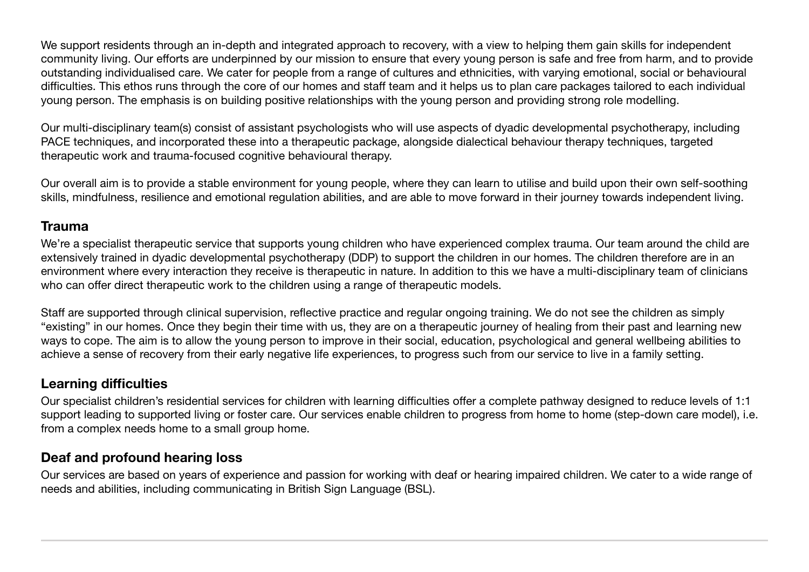We support residents through an in-depth and integrated approach to recovery, with a view to helping them gain skills for independent community living. Our efforts are underpinned by our mission to ensure that every young person is safe and free from harm, and to provide outstanding individualised care. We cater for people from a range of cultures and ethnicities, with varying emotional, social or behavioural difficulties. This ethos runs through the core of our homes and staff team and it helps us to plan care packages tailored to each individual young person. The emphasis is on building positive relationships with the young person and providing strong role modelling.

Our multi-disciplinary team(s) consist of assistant psychologists who will use aspects of dyadic developmental psychotherapy, including PACE techniques, and incorporated these into a therapeutic package, alongside dialectical behaviour therapy techniques, targeted therapeutic work and trauma-focused cognitive behavioural therapy.

Our overall aim is to provide a stable environment for young people, where they can learn to utilise and build upon their own self-soothing skills, mindfulness, resilience and emotional regulation abilities, and are able to move forward in their journey towards independent living.

#### Trauma

We're a specialist therapeutic service that supports young children who have experienced complex trauma. Our team around the child are extensively trained in dyadic developmental psychotherapy (DDP) to support the children in our homes. The children therefore are in an environment where every interaction they receive is therapeutic in nature. In addition to this we have a multi-disciplinary team of clinicians who can offer direct therapeutic work to the children using a range of therapeutic models.

Staff are supported through clinical supervision, reflective practice and regular ongoing training. We do not see the children as simply "existing" in our homes. Once they begin their time with us, they are on a therapeutic journey of healing from their past and learning new ways to cope. The aim is to allow the young person to improve in their social, education, psychological and general wellbeing abilities to achieve a sense of recovery from their early negative life experiences, to progress such from our service to live in a family setting.

#### Learning difficulties

Our specialist children's residential services for children with learning difficulties offer a complete pathway designed to reduce levels of 1:1 support leading to supported living or foster care. Our services enable children to progress from home to home (step-down care model), i.e. from a complex needs home to a small group home.

## Deaf and profound hearing loss

Our services are based on years of experience and passion for working with deaf or hearing impaired children. We cater to a wide range of needs and abilities, including communicating in British Sign Language (BSL).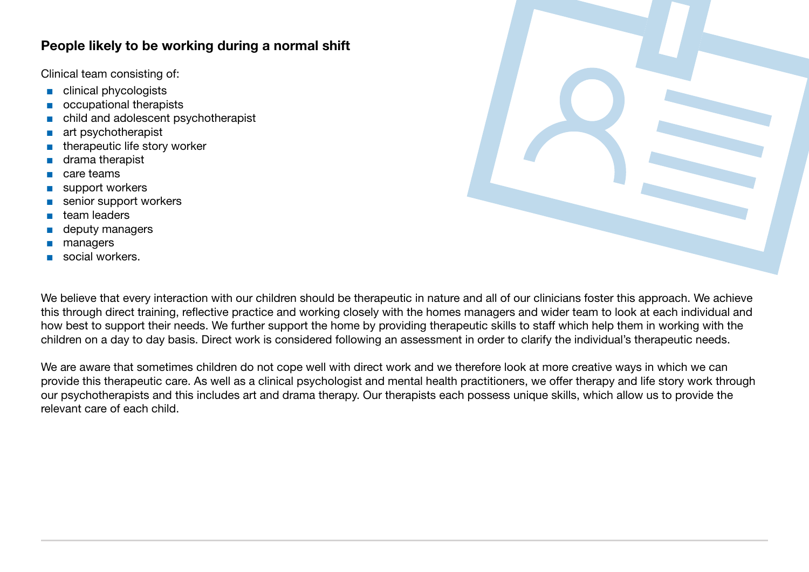#### People likely to be working during a normal shift

Clinical team consisting of:

- clinical phycologists
- occupational therapists
- child and adolescent psychotherapist
- art psychotherapist
- therapeutic life story worker
- drama therapist
- care teams
- support workers
- senior support workers
- team leaders
- deputy managers
- managers
- social workers.

We believe that every interaction with our children should be therapeutic in nature and all of our clinicians foster this approach. We achieve this through direct training, reflective practice and working closely with the homes managers and wider team to look at each individual and how best to support their needs. We further support the home by providing therapeutic skills to staff which help them in working with the children on a day to day basis. Direct work is considered following an assessment in order to clarify the individual's therapeutic needs.

We are aware that sometimes children do not cope well with direct work and we therefore look at more creative ways in which we can provide this therapeutic care. As well as a clinical psychologist and mental health practitioners, we offer therapy and life story work through our psychotherapists and this includes art and drama therapy. Our therapists each possess unique skills, which allow us to provide the relevant care of each child.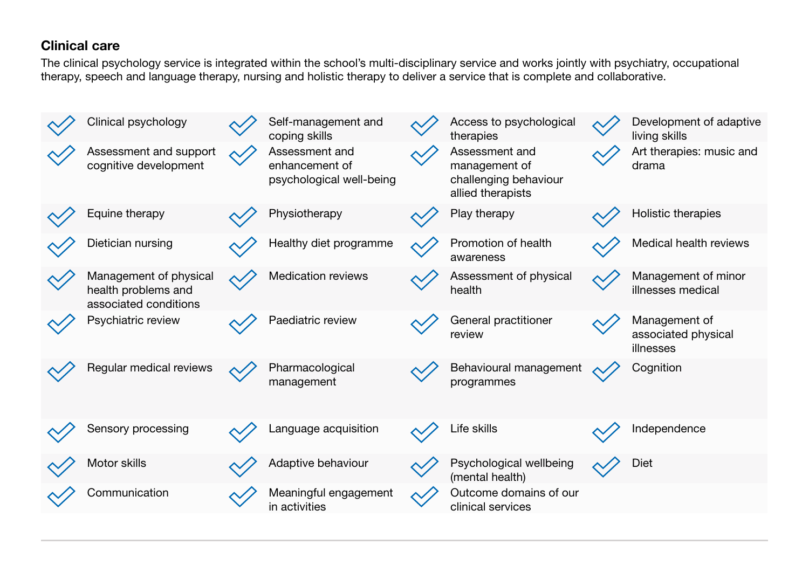### Clinical care

The clinical psychology service is integrated within the school's multi-disciplinary service and works jointly with psychiatry, occupational therapy, speech and language therapy, nursing and holistic therapy to deliver a service that is complete and collaborative.

| Clinical psychology                                                    |                 | Self-management and<br>coping skills                         | Access to psychological<br>therapies                                          | Development of adaptive<br>living skills          |
|------------------------------------------------------------------------|-----------------|--------------------------------------------------------------|-------------------------------------------------------------------------------|---------------------------------------------------|
| Assessment and support<br>cognitive development                        | $\mathcal{N}$ / | Assessment and<br>enhancement of<br>psychological well-being | Assessment and<br>management of<br>challenging behaviour<br>allied therapists | Art therapies: music and<br>drama                 |
| Equine therapy                                                         |                 | Physiotherapy                                                | Play therapy                                                                  | Holistic therapies                                |
| Dietician nursing                                                      |                 | Healthy diet programme                                       | Promotion of health<br>awareness                                              | Medical health reviews                            |
| Management of physical<br>health problems and<br>associated conditions |                 | <b>Medication reviews</b>                                    | Assessment of physical<br>health                                              | Management of minor<br>illnesses medical          |
| Psychiatric review                                                     |                 | Paediatric review                                            | General practitioner<br>review                                                | Management of<br>associated physical<br>illnesses |
| Regular medical reviews                                                |                 | Pharmacological<br>management                                | Behavioural management<br>programmes                                          | Cognition                                         |
| Sensory processing                                                     |                 | Language acquisition                                         | Life skills                                                                   | Independence                                      |
| Motor skills                                                           |                 | Adaptive behaviour                                           | Psychological wellbeing<br>(mental health)                                    | Diet                                              |
| Communication                                                          |                 | Meaningful engagement<br>in activities                       | Outcome domains of our<br>clinical services                                   |                                                   |
|                                                                        |                 |                                                              |                                                                               |                                                   |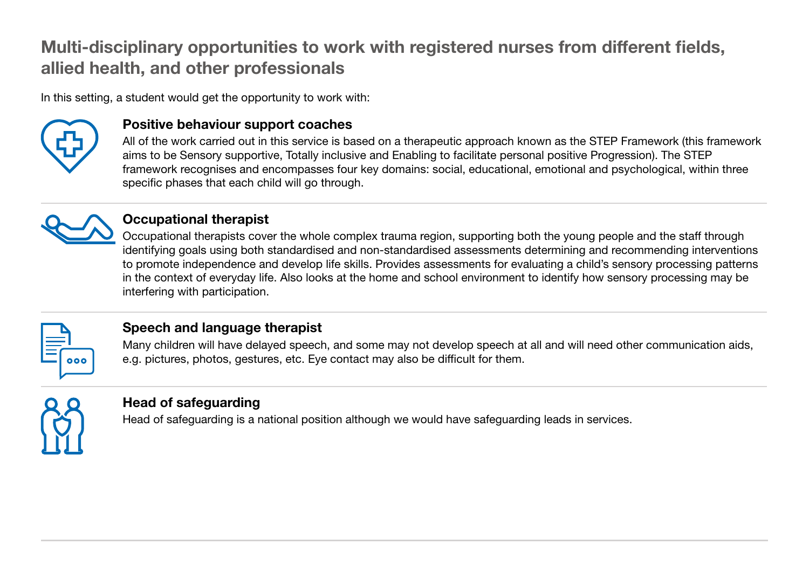## Multi-disciplinary opportunities to work with registered nurses from different fields, allied health, and other professionals

In this setting, a student would get the opportunity to work with:



#### Positive behaviour support coaches

All of the work carried out in this service is based on a therapeutic approach known as the STEP Framework (this framework aims to be Sensory supportive, Totally inclusive and Enabling to facilitate personal positive Progression). The STEP framework recognises and encompasses four key domains: social, educational, emotional and psychological, within three specific phases that each child will go through.



#### Occupational therapist

Occupational therapists cover the whole complex trauma region, supporting both the young people and the staff through identifying goals using both standardised and non-standardised assessments determining and recommending interventions to promote independence and develop life skills. Provides assessments for evaluating a child's sensory processing patterns in the context of everyday life. Also looks at the home and school environment to identify how sensory processing may be interfering with participation.



## Speech and language therapist

Many children will have delayed speech, and some may not develop speech at all and will need other communication aids, e.g. pictures, photos, gestures, etc. Eye contact may also be difficult for them.



### Head of safeguarding

Head of safeguarding is a national position although we would have safeguarding leads in services.